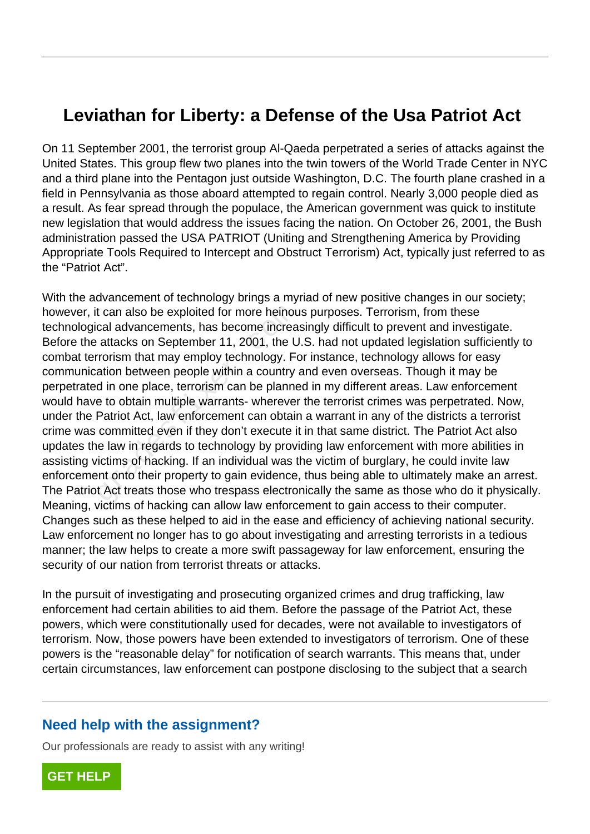## **Leviathan for Liberty: a Defense of the Usa Patriot Act**

On 11 September 2001, the terrorist group Al-Qaeda perpetrated a series of attacks against the United States. This group flew two planes into the twin towers of the World Trade Center in NYC and a third plane into the Pentagon just outside Washington, D.C. The fourth plane crashed in a field in Pennsylvania as those aboard attempted to regain control. Nearly 3,000 people died as a result. As fear spread through the populace, the American government was quick to institute new legislation that would address the issues facing the nation. On October 26, 2001, the Bush administration passed the USA PATRIOT (Uniting and Strengthening America by Providing Appropriate Tools Required to Intercept and Obstruct Terrorism) Act, typically just referred to as the "Patriot Act".

With the advancement of technology brings a myriad of new positive changes in our society; however, it can also be exploited for more heinous purposes. Terrorism, from these technological advancements, has become increasingly difficult to prevent and investigate. Before the attacks on September 11, 2001, the U.S. had not updated legislation sufficiently to combat terrorism that may employ technology. For instance, technology allows for easy communication between people within a country and even overseas. Though it may be perpetrated in one place, terrorism can be planned in my different areas. Law enforcement would have to obtain multiple warrants- wherever the terrorist crimes was perpetrated. Now, under the Patriot Act, law enforcement can obtain a warrant in any of the districts a terrorist crime was committed even if they don't execute it in that same district. The Patriot Act also updates the law in regards to technology by providing law enforcement with more abilities in assisting victims of hacking. If an individual was the victim of burglary, he could invite law enforcement onto their property to gain evidence, thus being able to ultimately make an arrest. The Patriot Act treats those who trespass electronically the same as those who do it physically. Meaning, victims of hacking can allow law enforcement to gain access to their computer. Changes such as these helped to aid in the ease and efficiency of achieving national security. Law enforcement no longer has to go about investigating and arresting terrorists in a tedious manner; the law helps to create a more swift passageway for law enforcement, ensuring the security of our nation from terrorist threats or attacks. t can also be exploited for more heinous<br>cal advancements, has become increa<br>attacks on September 11, 2001, the U<br>rrorism that may employ technology. For<br>ation between people within a country<br>d in one place, terrorism can

In the pursuit of investigating and prosecuting organized crimes and drug trafficking, law enforcement had certain abilities to aid them. Before the passage of the Patriot Act, these powers, which were constitutionally used for decades, were not available to investigators of terrorism. Now, those powers have been extended to investigators of terrorism. One of these powers is the "reasonable delay" for notification of search warrants. This means that, under certain circumstances, law enforcement can postpone disclosing to the subject that a search

## **Need help with the assignment?**

Our professionals are ready to assist with any writing!

**[GET HELP](https://my.gradesfixer.com/order?utm_campaign=pdf_sample)**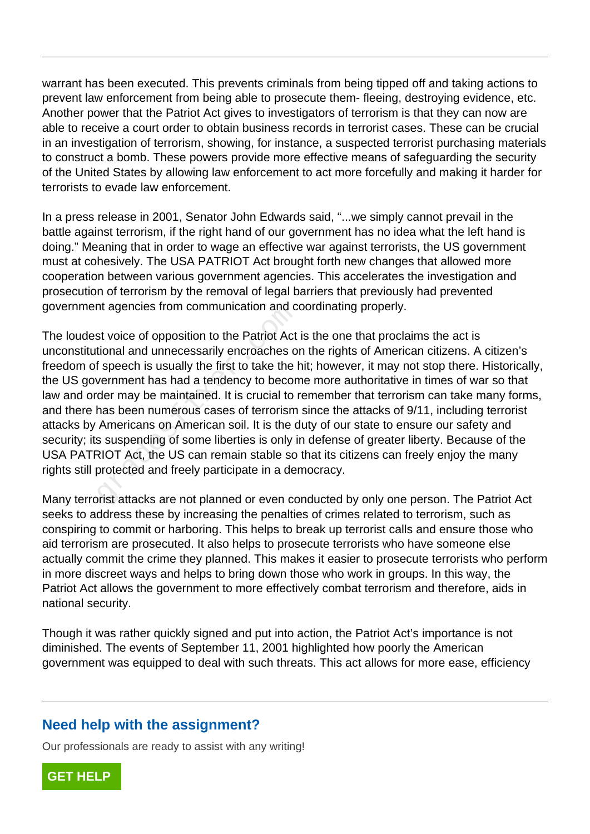warrant has been executed. This prevents criminals from being tipped off and taking actions to prevent law enforcement from being able to prosecute them- fleeing, destroying evidence, etc. Another power that the Patriot Act gives to investigators of terrorism is that they can now are able to receive a court order to obtain business records in terrorist cases. These can be crucial in an investigation of terrorism, showing, for instance, a suspected terrorist purchasing materials to construct a bomb. These powers provide more effective means of safeguarding the security of the United States by allowing law enforcement to act more forcefully and making it harder for terrorists to evade law enforcement.

In a press release in 2001, Senator John Edwards said, "...we simply cannot prevail in the battle against terrorism, if the right hand of our government has no idea what the left hand is doing." Meaning that in order to wage an effective war against terrorists, the US government must at cohesively. The USA PATRIOT Act brought forth new changes that allowed more cooperation between various government agencies. This accelerates the investigation and prosecution of terrorism by the removal of legal barriers that previously had prevented government agencies from communication and coordinating properly.

The loudest voice of opposition to the Patriot Act is the one that proclaims the act is unconstitutional and unnecessarily encroaches on the rights of American citizens. A citizen's freedom of speech is usually the first to take the hit; however, it may not stop there. Historically, the US government has had a tendency to become more authoritative in times of war so that law and order may be maintained. It is crucial to remember that terrorism can take many forms, and there has been numerous cases of terrorism since the attacks of 9/11, including terrorist attacks by Americans on American soil. It is the duty of our state to ensure our safety and security; its suspending of some liberties is only in defense of greater liberty. Because of the USA PATRIOT Act, the US can remain stable so that its citizens can freely enjoy the many rights still protected and freely participate in a democracy. In agencies nom communication and c<br>st voice of opposition to the Patriot Act<br>tional and unnecessarily encroaches of<br>speech is usually the first to take the l<br>vernment has had a tendency to becon<br>der may be maintained. It

Many terrorist attacks are not planned or even conducted by only one person. The Patriot Act seeks to address these by increasing the penalties of crimes related to terrorism, such as conspiring to commit or harboring. This helps to break up terrorist calls and ensure those who aid terrorism are prosecuted. It also helps to prosecute terrorists who have someone else actually commit the crime they planned. This makes it easier to prosecute terrorists who perform in more discreet ways and helps to bring down those who work in groups. In this way, the Patriot Act allows the government to more effectively combat terrorism and therefore, aids in national security.

Though it was rather quickly signed and put into action, the Patriot Act's importance is not diminished. The events of September 11, 2001 highlighted how poorly the American government was equipped to deal with such threats. This act allows for more ease, efficiency

## **Need help with the assignment?**

Our professionals are ready to assist with any writing!